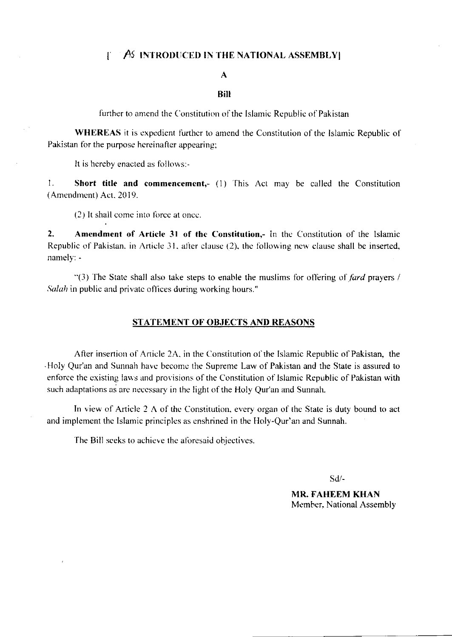## $\uparrow$   $\uparrow$   $\uparrow$   $\uparrow$  introduced in the national assembly

## $\mathbf{A}$

#### **Bill**

further to amend the Constitution of the Islamic Republic of Pakistan

**WHEREAS** it is expedient further to amend the Constitution of the Islamic Republic of Pakistan for the purpose hereinafter appearing;

It is hereby enacted as follows:-

1. Short title and commencement,- (1) This Act may be called the Constitution (Amendment) Act, 2019.

(2) It shall come into force at once.

 $2.$ Amendment of Article 31 of the Constitution,- In the Constitution of the Islamic Republic of Pakistan, in Article 31, after clause (2), the following new clause shall be inserted, namely: -

"(3) The State shall also take steps to enable the muslims for offering of  $\int \frac{dx}{dy}$  prayers / Salah in public and private offices during working hours."

#### **STATEMENT OF OBJECTS AND REASONS**

After insertion of Article 2A, in the Constitution of the Islamic Republic of Pakistan, the Holy Qur'an and Sunnah have become the Supreme Law of Pakistan and the State is assured to enforce the existing laws and provisions of the Constitution of Islamic Republic of Pakistan with such adaptations as are necessary in the light of the Holy Qur'an and Sunnah.

In view of Article 2 A of the Constitution, every organ of the State is duty bound to act and implement the Islamic principles as enshrined in the Holy-Qur'an and Sunnah.

The Bill seeks to achieve the aforesaid objectives.

 $Sd$ /-

**MR. FAHEEM KHAN** Member, National Assembly